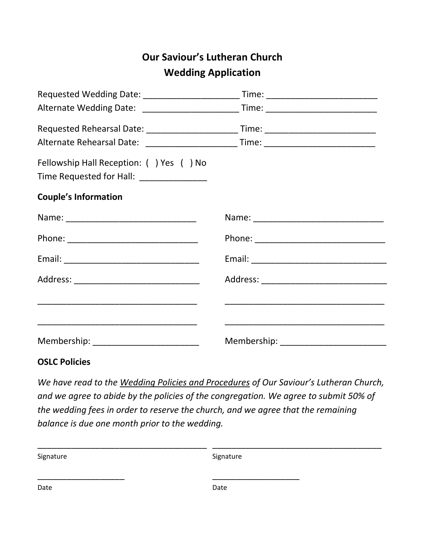## **Our Saviour's Lutheran Church Wedding Application**

| Requested Wedding Date: _____________________________Time: _____________________       |  |
|----------------------------------------------------------------------------------------|--|
| Alternate Wedding Date: _____________________________Time: ______________________      |  |
| Requested Rehearsal Date: __________________________Time: ______________________       |  |
|                                                                                        |  |
| Fellowship Hall Reception: ( ) Yes ( ) No<br>Time Requested for Hall: ________________ |  |
| <b>Couple's Information</b>                                                            |  |
|                                                                                        |  |
|                                                                                        |  |
|                                                                                        |  |
|                                                                                        |  |
|                                                                                        |  |
|                                                                                        |  |
| Membership: ___________________________                                                |  |

## **OSLC Policies**

*We have read to the Wedding Policies and Procedures of Our Saviour's Lutheran Church, and we agree to abide by the policies of the congregation. We agree to submit 50% of the wedding fees in order to reserve the church, and we agree that the remaining balance is due one month prior to the wedding.* 

| Signature | Signature |
|-----------|-----------|
|           |           |
| Date      | Date      |
|           |           |